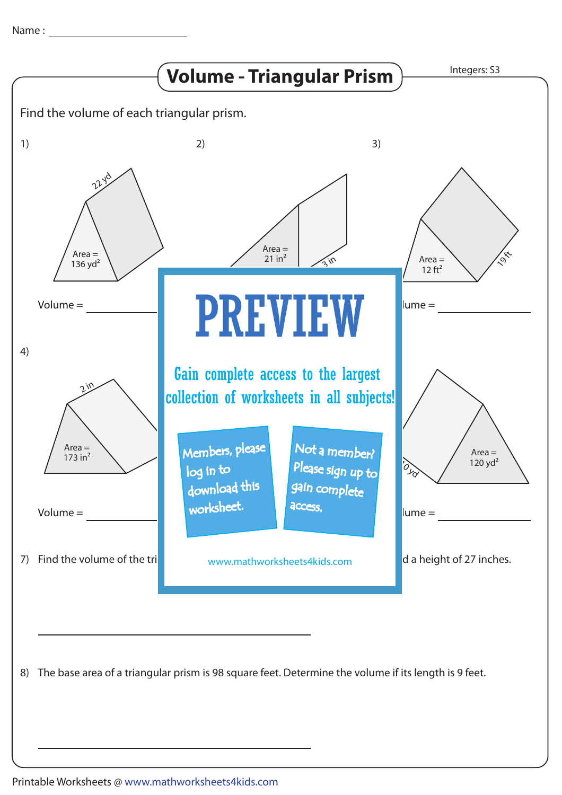